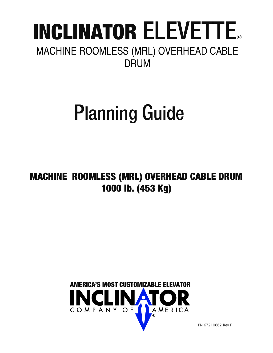# INCLINATOR ELEVETTE® MACHINE ROOMLESS (MRL) OVERHEAD CABLE DRUM

# Planning Guide

### MACHINE ROOMLESS (MRL) OVERHEAD CABLE DRUM 1000 lb. (453 Kg)



PN 67210662 Rev F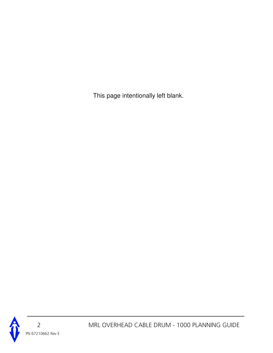This page intentionally left blank.

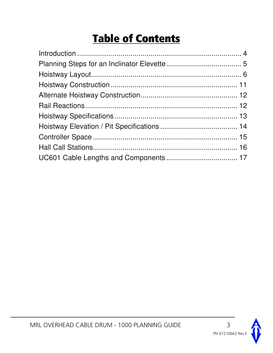# **Table of Contents**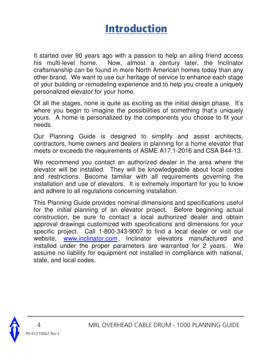### Introduction

It started over 90 years ago with a passion to help an ailing friend access his multi-level home. Now, almost a century later, the Inclinator craftsmanship can be found in more North American homes today than any other brand. We want to use our heritage of service to enhance each stage of your building or remodeling experience and to help you create a uniquely personalized elevator for your home.

Of all the stages, none is quite as exciting as the initial design phase. It's where you begin to imagine the possibilities of something that's uniquely yours. A home is personalized by the components you choose to fit your needs.

Our Planning Guide is designed to simplify and assist architects, contractors, home owners and dealers in planning for a home elevator that meets or exceeds the requirements of ASME A17.1-2016 and CSA B44-13.

We recommend you contact an authorized dealer in the area where the elevator will be installed. They will be knowledgeable about local codes and restrictions. Become familiar with all requirements governing the installation and use of elevators. It is extremely important for you to know and adhere to all regulations concerning installation.

This Planning Guide provides nominal dimensions and specifications useful for the initial planning of an elevator project. Before beginning actual construction, be sure to contact a local authorized dealer and obtain approval drawings customized with specifications and dimensions for your specific project. Call 1-800-343-9007 to find a local dealer or visit our website, www.inclinator.com. Inclinator elevators manufactured and installed under the proper parameters are warranted for 2 years. We assume no liability for equipment not installed in compliance with national, state, and local codes.

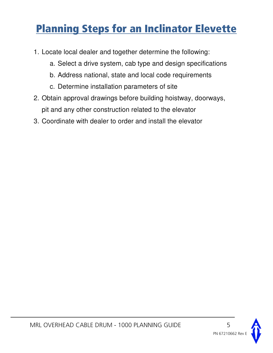# **Planning Steps for an Inclinator Elevette**

- 1. Locate local dealer and together determine the following:
	- a. Select a drive system, cab type and design specifications
	- b. Address national, state and local code requirements
	- c. Determine installation parameters of site
- 2. Obtain approval drawings before building hoistway, doorways, pit and any other construction related to the elevator
- 3. Coordinate with dealer to order and install the elevator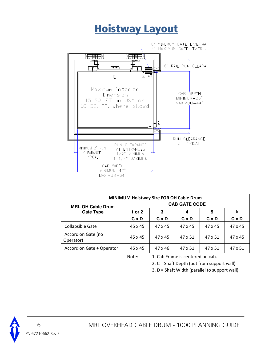

| MINIMUM Hoistway Size FOR OH Cable Drum |                      |                |         |         |         |  |  |  |  |  |
|-----------------------------------------|----------------------|----------------|---------|---------|---------|--|--|--|--|--|
| <b>MRL OH Cable Drum</b>                | <b>CAB GATE CODE</b> |                |         |         |         |  |  |  |  |  |
| <b>Gate Type</b>                        | 1 or 2               | 3              | 4       | 5       | 6       |  |  |  |  |  |
|                                         | $C \times D$         | $C \times D$   | C x D   | C x D   | C x D   |  |  |  |  |  |
| Collapsible Gate                        | 45 x 45              | $47 \times 45$ | 47 x 45 | 47 x 45 | 47 x 45 |  |  |  |  |  |
| Accordion Gate (no<br>Operator)         | 45 x 45              | 47 x 45        | 47 x 51 | 47 x 51 | 47 x 45 |  |  |  |  |  |
| <b>Accordion Gate + Operator</b>        | 45 x 45              | $47 \times 46$ | 47 x 51 | 47 x 51 | 47 x 51 |  |  |  |  |  |

Note: 1. Cab Frame is centered on cab.

2. C = Shaft Depth (out from support wall)

3. D = Shaft Width (parallel to support wall)

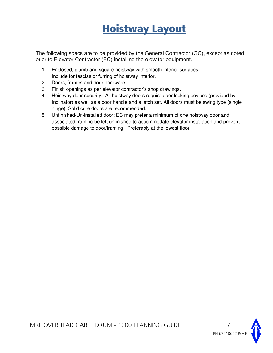The following specs are to be provided by the General Contractor (GC), except as noted, prior to Elevator Contractor (EC) installing the elevator equipment.

- 1. Enclosed, plumb and square hoistway with smooth interior surfaces. Include for fascias or furring of hoistway interior.
- 2. Doors, frames and door hardware.
- 3. Finish openings as per elevator contractor's shop drawings.
- 4. Hoistway door security: All hoistway doors require door locking devices (provided by Inclinator) as well as a door handle and a latch set. All doors must be swing type (single hinge). Solid core doors are recommended.
- 5. Unfinished/Un-installed door: EC may prefer a minimum of one hoistway door and associated framing be left unfinished to accommodate elevator installation and prevent possible damage to door/framing. Preferably at the lowest floor.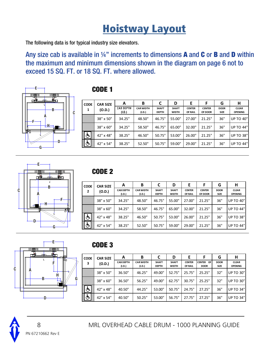The following data is for typical industry size elevators.

Any size cab is available in  $\frac{1}{4}$ " increments to dimensions **A** and **C** or **B** and **D** within the maximum and minimum dimensions shown in the diagram on page 6 not to exceed 15 SQ. FT. or 18 SQ. FT. where allowed.



### CODE 1

| <b>CODE</b>                  | <b>CAR SIZE</b> | A                          | В                          | C                            | D                            | Е                        | F                        | G                          | н                              |
|------------------------------|-----------------|----------------------------|----------------------------|------------------------------|------------------------------|--------------------------|--------------------------|----------------------------|--------------------------------|
| 1                            | (O.D.)          | <b>CAB DEPTH</b><br>(1.D.) | <b>CAR WIDTH</b><br>(I.D.) | <b>SHAFT</b><br><b>DEPTH</b> | <b>SHAFT</b><br><b>WIDTH</b> | <b>CENTER</b><br>OF RAIL | <b>CENTER</b><br>OF DOOR | <b>DOOR</b><br><b>SIZE</b> | <b>CLEAR</b><br><b>OPENING</b> |
|                              | 38" x 50"       | 34.25"                     | 48.50"                     | 46.75"                       | 55.00"                       | 27.00"                   | 21.25"                   | 36"                        | <b>UP TO 40"</b>               |
|                              | 38" x 60"       | 34.25"                     | 58.50"                     | 46.75"                       | 65.00"                       | 32.00"                   | 21.25"                   | 36"                        | <b>UP TO 44"</b>               |
| Ġ                            | 42" x 48"       | 38.25"                     | 46.50"                     | 50.75"                       | 53.00"                       | 26.00"                   | 21.25"                   | 36"                        | <b>UP TO 38"</b>               |
| င် $\overline{\mathfrak{e}}$ | 42" x 54"       | 38.25"                     | 52.50"                     | 50.75"                       | 59.00"                       | 29.00"                   | 21.25"                   | 36"                        | <b>UP TO 44"</b>               |



### CODE 2

| <b>CODE</b>             | <b>CAR SIZE</b> | A                          | В                          | C                            | D                            | Е                        |                          | G                          | н                              |
|-------------------------|-----------------|----------------------------|----------------------------|------------------------------|------------------------------|--------------------------|--------------------------|----------------------------|--------------------------------|
| 2                       | (O.D.)          | <b>CAB DEPTH</b><br>(I.D.) | <b>CAR WIDTH</b><br>(I.D.) | <b>SHAFT</b><br><b>DEPTH</b> | <b>SHAFT</b><br><b>WIDTH</b> | <b>CENTER</b><br>OF RAIL | <b>CENTER</b><br>OF DOOR | <b>DOOR</b><br><b>SIZE</b> | <b>CLEAR</b><br><b>OPENING</b> |
|                         | 38" x 50"       | 34.25"                     | 48.50"                     | 46.75"                       | 55.00"                       | 27.00"                   | 21.25"                   | 36"                        | <b>UP TO 40"</b>               |
|                         | 38" x 60"       | 34.25"                     | 58.50"                     | 46.75"                       | 65.00"                       | 32.00"                   | 21.25"                   | 36"                        | <b>UP TO 44"</b>               |
| ڣ                       | 42" x 48"       | 38.25"                     | 46.50"                     | 50.75"                       | 53.00"                       | 26.00"                   | 21.25"                   | 36"                        | <b>UP TO 38"</b>               |
| $\overline{\mathbf{P}}$ | 42" x 54"       | 38.25"                     | 52.50"                     | 50.75"                       | 59.00"                       | 29.00"                   | 21.25"                   | 36"                        | <b>UP TO 44"</b>               |



### CODE 3

| <b>CODE</b> | <b>CAR SIZE</b> | A                          | В                          | C                            | D                            | E                        | F                                  | G                          | н                              |
|-------------|-----------------|----------------------------|----------------------------|------------------------------|------------------------------|--------------------------|------------------------------------|----------------------------|--------------------------------|
| 3           | (O.D.)          | <b>CAB DEPTH</b><br>(I.D.) | <b>CAR WIDTH</b><br>(I.D.) | <b>SHAFT</b><br><b>DEPTH</b> | <b>SHAFT</b><br><b>WIDTH</b> | <b>CENTER</b><br>OF RAIL | <b>CENTER</b><br>OF<br><b>DOOR</b> | <b>DOOR</b><br><b>SIZE</b> | <b>CLEAR</b><br><b>OPENING</b> |
|             | 38" x 50"       | 36.50"                     | 46.25"                     | 49.00"                       | 52.75"                       | 25.75"                   | 25.25"                             | 32"                        | <b>UP TO 30"</b>               |
|             | 38" x 60"       | 36.50"                     | 56.25"                     | 49.00"                       | 62.75"                       | 30.75"                   | 25.25"                             | 32"                        | <b>UP TO 30"</b>               |
| Ġ           | 42" x 48"       | 40.50"                     | 44.25"                     | 53.00"                       | 50.75"                       | 24.75"                   | 27.25"                             | 36"                        | <b>UP TO 34"</b>               |
| Ġ           | 42" x 54"       | 40.50"                     | 50.25"                     | 53.00"                       | 56.75"                       | 27.75"                   | 27.25"                             | 36"                        | <b>UP TO 34"</b>               |

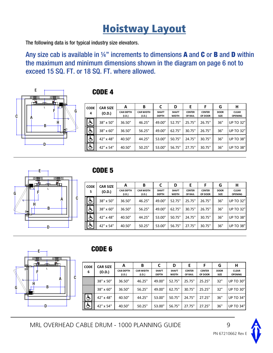The following data is for typical industry size elevators.

Any size cab is available in  $\frac{1}{4}$ " increments to dimensions **A** and **C** or **B** and **D** within the maximum and minimum dimensions shown in the diagram on page 6 not to exceed 15 SQ. FT. or 18 SQ. FT. where allowed.



### CODE 4

| <b>CODE</b> | <b>CAR SIZE</b> | А                          | В                          |                              | D                            | E                        | F                        | G                          | н                              |
|-------------|-----------------|----------------------------|----------------------------|------------------------------|------------------------------|--------------------------|--------------------------|----------------------------|--------------------------------|
| 4           | (O.D.)          | <b>CAB DEPTH</b><br>(I.D.) | <b>CAR WIDTH</b><br>(I.D.) | <b>SHAFT</b><br><b>DEPTH</b> | <b>SHAFT</b><br><b>WIDTH</b> | <b>CENTER</b><br>OF RAIL | <b>CENTER</b><br>OF DOOR | <b>DOOR</b><br><b>SIZE</b> | <b>CLEAR</b><br><b>OPENING</b> |
| Ġ           | 38" x 50"       | 36.50"                     | 46.25"                     | 49.00"                       | 52.75"                       | 25.75"                   | 26.75"                   | 36"                        | <b>UP TO 32"</b>               |
| Ġ           | 38" x 60"       | 36.50"                     | 56.25"                     | 49.00"                       | 62.75"                       | 30.75"                   | 26.75"                   | 36"                        | <b>UP TO 32"</b>               |
| Ġ           | 42" x 48"       | 40.50"                     | 44.25"                     | 53.00"                       | 50.75"                       | 24.75"                   | 30.75"                   | 36"                        | <b>UP TO 38"</b>               |
| ڣ           | 42" x 54"       | 40.50"                     | 50.25"                     | 53.00"                       | 56.75"                       | 27.75"                   | 30.75"                   | 36"                        | <b>UP TO 38"</b>               |



### CODE 5

| <b>CODE</b>        | <b>CAR SIZE</b> | A                          | В                          | C                            | D                            | Е                        |                          | G                          | н                              |
|--------------------|-----------------|----------------------------|----------------------------|------------------------------|------------------------------|--------------------------|--------------------------|----------------------------|--------------------------------|
| 5                  | (O.D.)          | <b>CAB DEPTH</b><br>(I.D.) | <b>CAR WIDTH</b><br>(I.D.) | <b>SHAFT</b><br><b>DEPTH</b> | <b>SHAFT</b><br><b>WIDTH</b> | <b>CENTER</b><br>OF RAIL | <b>CENTER</b><br>OF DOOR | <b>DOOR</b><br><b>SIZE</b> | <b>CLEAR</b><br><b>OPENING</b> |
| $\overline{G}$     | 38" x 50"       | 36.50"                     | 46.25"                     | 49.00"                       | 52.75"                       | 25.75"                   | 26.75"                   | 36"                        | <b>UP TO 32"</b>               |
| $\overline{G}$     | 38" x 60"       | 36.50"                     | 56.25"                     | 49.00"                       | 62.75"                       | 30.75"                   | 26.75"                   | 36"                        | <b>UP TO 32"</b>               |
| $\mathbf{\dot{e}}$ | 42" x 48"       | 40.50"                     | 44.25"                     | 53.00"                       | 50.75"                       | 24.75"                   | 30.75"                   | 36"                        | <b>UP TO 38"</b>               |
| ای                 | 42" x 54"       | 40.50"                     | 50.25"                     | 53.00"                       | 56.75"                       | 27.75"                   | 30.75"                   | 36"                        | <b>UP TO 38"</b>               |



### CODE 6

| <b>CODE</b> | <b>CAR SIZE</b> | A                          | B                          |                              | D                            | E                        | F                        | G                          | н                              |
|-------------|-----------------|----------------------------|----------------------------|------------------------------|------------------------------|--------------------------|--------------------------|----------------------------|--------------------------------|
| 6           | (O.D.)          | <b>CAB DEPTH</b><br>(I.D.) | <b>CAR WIDTH</b><br>(I.D.) | <b>SHAFT</b><br><b>DEPTH</b> | <b>SHAFT</b><br><b>WIDTH</b> | <b>CENTER</b><br>OF RAIL | <b>CENTER</b><br>OF DOOR | <b>DOOR</b><br><b>SIZE</b> | <b>CLEAR</b><br><b>OPENING</b> |
|             | 38" x 50"       | 36.50"                     | 46.25"                     | 49.00"                       | 52.75"                       | 25.75"                   | 25.25"                   | 32"                        | <b>UP TO 30"</b>               |
|             | 38" x 60"       | 36.50"                     | 56.25"                     | 49.00"                       | 62.75"                       | 30.75"                   | 25.25"                   | 32"                        | <b>UP TO 30"</b>               |
| Ġ           | 42" x 48"       | 40.50"                     | 44.25"                     | 53.00"                       | 50.75"                       | 24.75"                   | 27.25"                   | 36"                        | <b>UP TO 34"</b>               |
| ڂ           | 42" x 54"       | 40.50"                     | 50.25"                     | 53.00"                       | 56.75"                       | 27.75"                   | 27.25"                   | 36"                        | <b>UP TO 34"</b>               |

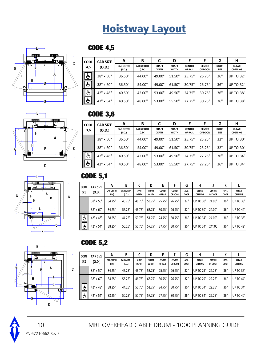CODE 4,5



| <b>CODE</b> | <b>CAR SIZE</b> | A                          | В                          |                              | D                            | Е                        | F                        | G                          | н                              |
|-------------|-----------------|----------------------------|----------------------------|------------------------------|------------------------------|--------------------------|--------------------------|----------------------------|--------------------------------|
| 4,5         | (O.D.)          | <b>CAB DEPTH</b><br>(I.D.) | <b>CAR WIDTH</b><br>(I.D.) | <b>SHAFT</b><br><b>DEPTH</b> | <b>SHAFT</b><br><b>WIDTH</b> | <b>CENTER</b><br>OF RAIL | <b>CENTER</b><br>OF DOOR | <b>DOOR</b><br><b>SIZE</b> | <b>CLEAR</b><br><b>OPENING</b> |
| Ŀ           | 38" x 50"       | 36.50"                     | 44.00"                     | 49.00"                       | 51.50"                       | 25.75"                   | 26.75"                   | 36"                        | <b>UP TO 32"</b>               |
| ხ           | 38" x 60"       | 36.50"                     | 54.00"                     | 49.00"                       | 61.50"                       | 30.75"                   | 26.75"                   | 36"                        | <b>UP TO 32"</b>               |
| ځ           | 42" x 48"       | 40.50"                     | 42.00"                     | 53.00"                       | 49.50"                       | 24.75"                   | 30.75"                   | 36"                        | <b>UP TO 38"</b>               |
| ∤ક          | 42" x 54"       | 40.50"                     | 48.00"                     | 53.00"                       | 55.50"                       | 27.75"                   | 30.75"                   | 36"                        | <b>UP TO 38"</b>               |

### CODE 3,6



| <b>CODE</b> | <b>CAR SIZE</b> | A                          | В                          |                              | D                            | Е                        | F                        | G                          | н                              |
|-------------|-----------------|----------------------------|----------------------------|------------------------------|------------------------------|--------------------------|--------------------------|----------------------------|--------------------------------|
| 3,6         | (O.D.)          | <b>CAB DEPTH</b><br>(I.D.) | <b>CAR WIDTH</b><br>(I.D.) | <b>SHAFT</b><br><b>DEPTH</b> | <b>SHAFT</b><br><b>WIDTH</b> | <b>CENTER</b><br>OF RAIL | <b>CENTER</b><br>OF DOOR | <b>DOOR</b><br><b>SIZE</b> | <b>CLEAR</b><br><b>OPENING</b> |
|             | 38" x 50"       | 36.50"                     | 44.00"                     | 49.00"                       | 51.50"                       | 25.75"                   | 25.25"                   | 32"                        | <b>UP TO 30"</b>               |
|             | 38" x 60"       | 36.50"                     | 54.00"                     | 49.00"                       | 61.50"                       | 30.75"                   | 25.25"                   | 32"                        | <b>UP TO 30"</b>               |
| ځ           | 42" x 48"       | 40.50"                     | 42.00"                     | 53.00"                       | 49.50"                       | 24.75"                   | 27.25"                   | 36"                        | <b>UP TO 34"</b>               |
| ځ           | 42" x 54"       | 40.50"                     | 48.00"                     | 53.00"                       | 55.50"                       | 27.75"                   | 27.25"                   | 36"                        | <b>UP TO 34"</b>               |



### CODE 5,1

| <b>CODE</b>        | <b>CAR SIZE</b> | A                          | B                          | C                            | D                            |                          |                          | G                   | н                              |                          | K                   |                                |
|--------------------|-----------------|----------------------------|----------------------------|------------------------------|------------------------------|--------------------------|--------------------------|---------------------|--------------------------------|--------------------------|---------------------|--------------------------------|
| 5,1                | (O.D.)          | <b>CAB DEPTH</b><br>(I.D.) | <b>CAR WIDTH</b><br>(I.D.) | <b>SHAFT</b><br><b>DEPTH</b> | <b>SHAFT</b><br><b>WIDTH</b> | <b>CENTER</b><br>OF RAIL | <b>CENTER</b><br>OF DOOR | ADJ.<br><b>DOOR</b> | <b>CLEAR</b><br><b>OPENING</b> | <b>CENTER</b><br>OF DOOR | OPP.<br><b>DOOR</b> | <b>CLEAR</b><br><b>OPENING</b> |
|                    | 38" x 50"       | 34.25"                     | 46.25"                     | 46.75"                       | 53.75"                       | 25.75"                   | 26.75"                   | 32"                 | <b>UP TO 30"</b>               | 24.00"                   | 36"                 | <b>UP TO 38"</b>               |
|                    | 38" x 60"       | 34.25"                     | 56.25"                     | 46.75"                       | 63.75"                       | 30.75"                   | 26.75"                   | 32"                 | <b>UP TO 30"</b>               | 24.00"                   | 36"                 | <b>UP TO 44"</b>               |
| க்                 | 42" x 48"       | 38.25"                     | 44.25"                     | 50.75"                       | 51.75"                       | 24.75"                   | 30.75"                   | 36"                 | <b>UP TO 34"</b>               | 24.00"                   | 36"                 | <b>UP TO 36"</b>               |
| $\dot{\mathbf{t}}$ | 42" x 54"       | 38.25"                     | 50.25"                     | 50.75"                       | 57.75"                       | 27.75"                   | 30.75"                   | 36"                 | <b>UP TO 34"</b>               | 24".00                   | 36"                 | <b>UP TO 42"</b>               |

### CODE 5,2

| F.                                                                                 |
|------------------------------------------------------------------------------------|
| <u>als</u><br>٩Ř<br>厑<br>¢<br>Ġ<br>Ć<br>в<br>c<br>н<br>ı:<br>陋<br>6<br>٦<br>X<br>酉 |

| <b>CODE</b><br>5,2   | <b>CAR SIZE</b><br>(O.D.) | A                          | B                          | C                            | D                            |                          |                          | G                   | н                              |                          | К                   |                         |
|----------------------|---------------------------|----------------------------|----------------------------|------------------------------|------------------------------|--------------------------|--------------------------|---------------------|--------------------------------|--------------------------|---------------------|-------------------------|
|                      |                           | <b>CAB DEPTH</b><br>(I.D.) | <b>CAR WIDTH</b><br>(I.D.) | <b>SHAFT</b><br><b>DEPTH</b> | <b>SHAFT</b><br><b>WIDTH</b> | <b>CENTER</b><br>OF RAIL | <b>CENTER</b><br>OF DOOR | ADJ.<br><b>DOOR</b> | <b>CLEAR</b><br><b>OPENING</b> | <b>CENTER</b><br>OF DOOR | OPP.<br><b>DOOR</b> | <b>CLEAR</b><br>OPENING |
|                      | 38" x 50"                 | 34.25"                     | 46.25"                     | 46.75"                       | 53.75"                       | 25.75"                   | 26.75"                   | 32"                 | <b>UP TO 29"</b>               | 22.25"                   | 36"                 | <b>UP TO 36"</b>        |
|                      | 38" x 60"                 | 34.25"                     | 56.25"                     | 46.75"                       | 63.75"                       | 30.75"                   | 26.75"                   | 32"                 | <b>UP TO 29"</b>               | 22.25"                   | 36"                 | <b>UP TO 44"</b>        |
| Ġ                    | 42" x 48"                 | 38.25"                     | 44.25"                     | 50.75"                       | 51.75"                       | 24.75"                   | 30.75"                   | 36"                 | <b>UP TO 34"</b>               | 22.25"                   | 36"                 | <b>UP TO 34"</b>        |
| $\dot{\mathfrak{G}}$ | 42" x 54"                 | 38.25"                     | 50.25"                     | 50.75"                       | 57.75"                       | 27.75"                   | 30.75"                   | 36"                 | <b>UP TO 34"</b>               | 22.25"                   | 36"                 | <b>UP TO 40"</b>        |

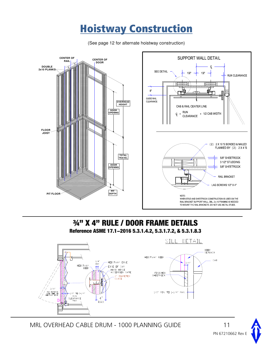### Hoistway Construction

(See page 12 for alternate hoistway construction)





### ¾" X 4" RULE / DOOR FRAME DETAILS Reference ASME 17.1-2016 5.3.1.4.2, 5.3.1.7.2, & 5.3.1.8.3



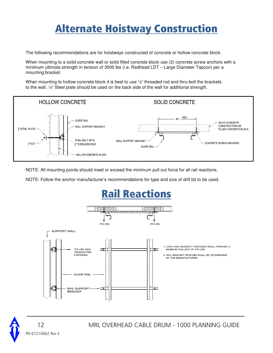# Alternate Hoistway Construction

The following recommendations are for hoistways constructed of concrete or hollow concrete block.

When mounting to a solid concrete wall or solid filled concrete block use (2) concrete screw anchors with a minimum ultimate strength in tension of 3000 lbs (i.e. Redhead LDT – Large Diameter Tapcon) per a mounting bracket.

When mounting to hollow concrete block it is best to use  $\frac{1}{2}$ " threaded rod and thru-bolt the brackets to the wall. ¼" Steel plate should be used on the back side of the wall for additional strength.



NOTE: All mounting points should meet or exceed the minimum pull out force for all rail reactions.

NOTE: Follow the anchor manufacturer's recommendations for type and size of drill bit to be used.



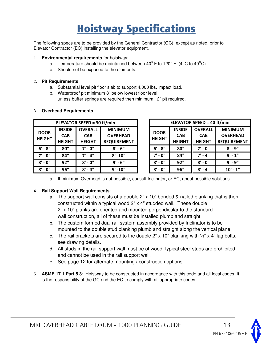# Hoistway Specifications

The following specs are to be provided by the General Contractor (GC), except as noted, prior to Elevator Contractor (EC) installing the elevator equipment.

#### 1. **Environmental requirements** for hoistway:

- a. Temperature should be maintained between 40<sup>0</sup> F to 120<sup>0</sup> F. (4<sup>0</sup>C to 49<sup>0</sup>C)
- b. Should not be exposed to the elements.

### 2. **Pit Requirements**:

- a. Substantial level pit floor slab to support 4,000 lbs. impact load.
- b. Waterproof pit minimum 8" below lowest floor level, unless buffer springs are required then minimum 12" pit required.

### 3. **Overhead Requirements**:

| <b>ELEVATOR SPEED = 30 ft/min</b> |               |                |                    |  |  |
|-----------------------------------|---------------|----------------|--------------------|--|--|
| <b>DOOR</b>                       | <b>INSIDE</b> | <b>OVERALL</b> | <b>MINIMUM</b>     |  |  |
| <b>HEIGHT</b>                     | <b>CAB</b>    | <b>CAB</b>     | <b>OVERHEAD</b>    |  |  |
|                                   | <b>HEIGHT</b> | <b>HEIGHT</b>  | <b>REQUIREMENT</b> |  |  |
| $6' - 8''$                        | 80"           | $7' - 0''$     | $8' - 6''$         |  |  |
| $7' - 0''$                        | 84"           | $7' - 4''$     | $8' - 10''$        |  |  |
| $8'$ - 0"                         | 92"           | $8' - 0''$     | $9'$ - $6"$        |  |  |
| 8' - 0"                           | 96"           | $8' - 4''$     | $9' - 10''$        |  |  |

| <b>ELEVATOR SPEED = 40 ft/min</b> |               |                |                    |  |  |  |  |
|-----------------------------------|---------------|----------------|--------------------|--|--|--|--|
| <b>DOOR</b>                       | <b>INSIDE</b> | <b>OVERALL</b> | <b>MINIMUM</b>     |  |  |  |  |
| <b>HEIGHT</b>                     | <b>CAB</b>    | <b>CAB</b>     | <b>OVERHEAD</b>    |  |  |  |  |
|                                   | <b>HEIGHT</b> | <b>HEIGHT</b>  | <b>REQUIREMENT</b> |  |  |  |  |
| $6' - 8''$                        | 80"           | $7' - 0''$     | $8' - 9''$         |  |  |  |  |
| $7' - 0''$                        | 84"           | $7' - 4"$      | $9' - 1''$         |  |  |  |  |
| $8' - 0''$                        | 92"           | $8'$ - 0"      | $9' - 9''$         |  |  |  |  |
| 8' - 0"                           | 96"           | $8'$ - 4"      | $10' - 1''$        |  |  |  |  |

a. If minimum Overhead is not possible, consult Inclinator, or EC, about possible solutions.

### 4. **Rail Support Wall Requirements**:

- a. The support wall consists of a double 2" x 10" bonded & nailed planking that is then constructed within a typical wood 2" x 4" studded wall. These double 2" x 10" planks are oriented and mounted perpendicular to the standard wall construction, all of these must be installed plumb and straight.
- b. The custom formed dual rail system assembly provided by Inclinator is to be mounted to the double stud planking plumb and straight along the vertical plane.
- c. The rail brackets are secured to the double 2" x 10" planking with  $\frac{1}{2}$ " x 4" lag bolts, see drawing details.
- d. All studs in the rail support wall must be of wood, typical steel studs are prohibited and cannot be used in the rail support wall.
- e. See page 12 for alternate mounting / construction options.
- 5. **ASME 17.1 Part 5.3**: Hoistway to be constructed in accordance with this code and all local codes. It is the responsibility of the GC and the EC to comply with all appropriate codes.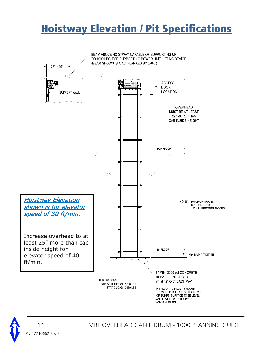# **Hoistway Elevation / Pit Specifications**



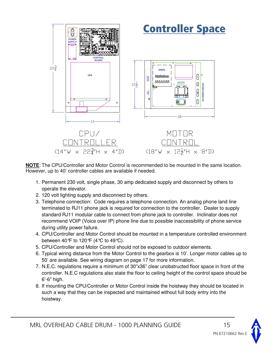

**NOTE**: The CPU/Controller and Motor Control is recommended to be mounted in the same location. However, up to 40' controller cables are available if needed.

- 1. Permanent 230 volt, single phase, 30 amp dedicated supply and disconnect by others to operate the elevator.
- 2. 120 volt lighting supply and disconnect by others.
- 3. Telephone connection: Code requires a telephone connection. An analog phone land line terminated to RJ11 phone jack is required for connection to the controller. Dealer to supply standard RJ11 modular cable to connect from phone jack to controller. Inclinator does not recommend VOIP (Voice over IP) phone line due to possible inaccessibility of phone service during utility power failure.
- 4. CPU/Controller and Motor Control should be mounted in a temperature controlled environment between 40 $\degree$ F to 120 $\degree$ F (4 $\degree$ C to 49 $\degree$ C).
- 5. CPU/Controller and Motor Control should not be exposed to outdoor elements.
- 6. Typical wiring distance from the Motor Control to the gearbox is 10'. Longer motor cables up to 50' are available. See wiring diagram on page 17 for more information.
- 7. N.E.C. regulations require a minimum of 30"x36" clear unobstructed floor space in front of the controller. N.E.C regulations also state the floor to ceiling height of the control space should be 6'-6" high.
- 8. If mounting the CPU/Controller or Motor Control inside the hoistway they should be located in such a way that they can be inspected and maintained without full body entry into the hoistway.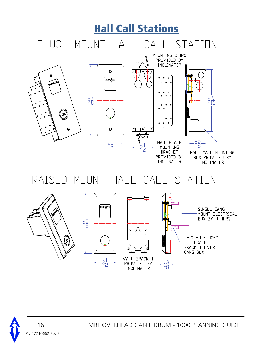# **Hall Call Stations**

CALL STATION FLUSH Mount hall



### RAISED MOUNT HALL CALL STATION



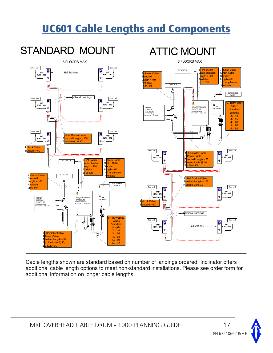# UC601 Cable Lengths and Components



Cable lengths shown are standard based on number of landings ordered. Inclinator offers additional cable length options to meet non-standard installations. Please see order form for additional information on longer cable lengths

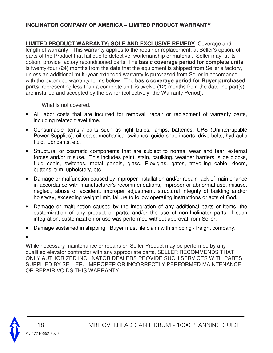### **INCLINATOR COMPANY OF AMERICA – LIMITED PRODUCT WARRANTY**

**LIMITED PRODUCT WARRANTY; SOLE AND EXCLUSIVE REMEDY** Coverage and length of warranty:This warranty applies to the repair or replacement, at Seller's option, of parts of the Product that fail due to defective workmanship or material. Seller may, at its option, provide factory reconditioned parts. The **basic coverage period for complete units**  is twenty-four (24) months from the date that the equipment is shipped from Seller's factory, unless an additional multi-year extended warranty is purchased from Seller in accordance with the extended warranty terms below. The **basic coverage period for Buyer purchased parts**, representing less than a complete unit, is twelve (12) months from the date the part(s) are installed and accepted by the owner (collectively, the Warranty Period).

What is not covered.

- All labor costs that are incurred for removal, repair or replacment of warranty parts, including related travel time.
- Consumable items / parts such as light bulbs, lamps, batteries, UPS (Uninterruptible Power Supplies), oil seals, mechanical switches, guide shoe inserts, drive belts, hydraulic fluid, lubricants, etc.
- Structural or cosmetic components that are subject to normal wear and tear, external forces and/or misuse. This includes paint, stain, caulking, weather barriers, slide blocks, fluid seals, switches, metal panels, glass, Plexiglas, gates, travelling cable, doors, buttons, trim, upholstery, etc.
- Damage or malfunction caused by improper installation and/or repair, lack of maintenance in accordance with manufacturer's recommendations, improper or abnormal use, misuse, neglect, abuse or accident, improper adjustment, structural integrity of building and/or hoistway, exceeding weight limit, failure to follow operating instructions or acts of God.
- Damage or malfunction caused by the integration of any additional parts or items, the customization of any product or parts, and/or the use of non-Inclinator parts, if such integration, customization or use was performed without approval from Seller.
- Damage sustained in shipping. Buyer must file claim with shipping / freight company.

•

While necessary maintenance or repairs on Seller Product may be performed by any qualified elevator contractor with any appropriate parts, SELLER RECOMMENDS THAT ONLY AUTHORIZED INCLINATOR DEALERS PROVIDE SUCH SERVICES WITH PARTS SUPPLIED BY SELLER. IMPROPER OR INCORRECTLY PERFORMED MAINTENANCE OR REPAIR VOIDS THIS WARRANTY.

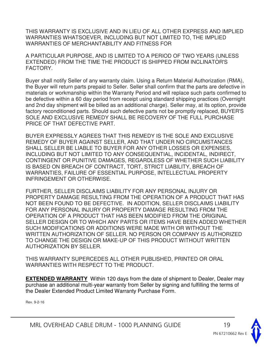THIS WARRANTY IS EXCLUSIVE AND IN LIEU OF ALL OTHER EXPRESS AND IMPLIED WARRANTIES WHATSOEVER, INCLUDING BUT NOT LIMITED TO, THE IMPLIED WARRANTIES OF MERCHANTABILITY AND FITNESS FOR

A PARTICULAR PURPOSE, AND IS LIMITED TO A PERIOD OF TWO YEARS (UNLESS EXTENDED) FROM THE TIME THE PRODUCT IS SHIPPED FROM INCLINATOR'S FACTORY.

Buyer shall notify Seller of any warranty claim. Using a Return Material Authorization (RMA), the Buyer will return parts prepaid to Seller. Seller shall confirm that the parts are defective in materials or workmanship within the Warranty Period and will replace such parts confirmed to be defective within a 60 day period from receipt using standard shipping practices (Overnight and 2nd day shipment will be billed as an additional charge). Seller may, at its option, provide factory reconditioned parts. Should such defective parts not be promptly replaced, BUYER'S SOLE AND EXCLUSIVE REMEDY SHALL BE RECOVERY OF THE FULL PURCHASE PRICE OF THAT DEFECTIVE PART.

BUYER EXPRESSLY AGREES THAT THIS REMEDY IS THE SOLE AND EXCLUSIVE REMEDY OF BUYER AGAINST SELLER, AND THAT UNDER NO CIRCUMSTANCES SHALL SELLER BE LIABLE TO BUYER FOR ANY OTHER LOSSES OR EXPENSES, INCLUDING BUT NOT LIMITED TO ANY CONSEQUENTIAL, INCIDENTAL, INDIRECT, CONTINGENT OR PUNITIVE DAMAGES, REGARDLESS OF WHETHER SUCH LIABILITY IS BASED ON BREACH OF CONTRACT, TORT, STRICT LIABILITY, BREACH OF WARRANTIES, FAILURE OF ESSENTIAL PURPOSE, INTELLECTUAL PROPERTY INFRINGEMENT OR OTHERWISE.

FURTHER, SELLER DISCLAIMS LIABILITY FOR ANY PERSONAL INJURY OR PROPERTY DAMAGE RESULTING FROM THE OPERATION OF A PRODUCT THAT HAS NOT BEEN FOUND TO BE DEFECTIVE. IN ADDITION, SELLER DISCLAIMS LIABILITY FOR ANY PERSONAL INJURY OR PROPERTY DAMAGE RESULTING FROM THE OPERATION OF A PRODUCT THAT HAS BEEN MODIFIED FROM THE ORIGINAL SELLER DESIGN OR TO WHICH ANY PARTS OR ITEMS HAVE BEEN ADDED WHETHER SUCH MODIFICATIONS OR ADDITIONS WERE MADE WITH OR WITHOUT THE WRITTEN AUTHORIZATION OF SELLER. NO PERSON OR COMPANY IS AUTHORIZED TO CHANGE THE DESIGN OR MAKE-UP OF THIS PRODUCT WITHOUT WRITTEN AUTHORIZATION BY SELLER.

THIS WARRANTY SUPERCEDES ALL OTHER PUBLISHED, PRINTED OR ORAL WARRANTIES WITH RESPECT TO THE PRODUCT.

**EXTENDED WARRANTY** Within 120 days from the date of shipment to Dealer, Dealer may purchase an additional multi-year warranty from Seller by signing and fulfilling the terms of the Dealer Extended Product Limited Warranty Purchase Form.

Rev. 9-2-16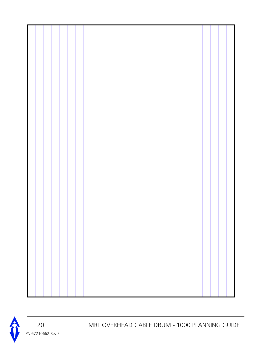

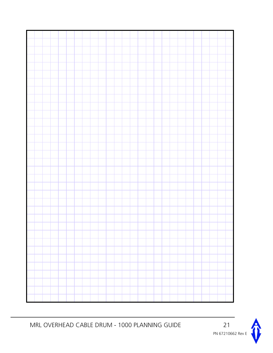